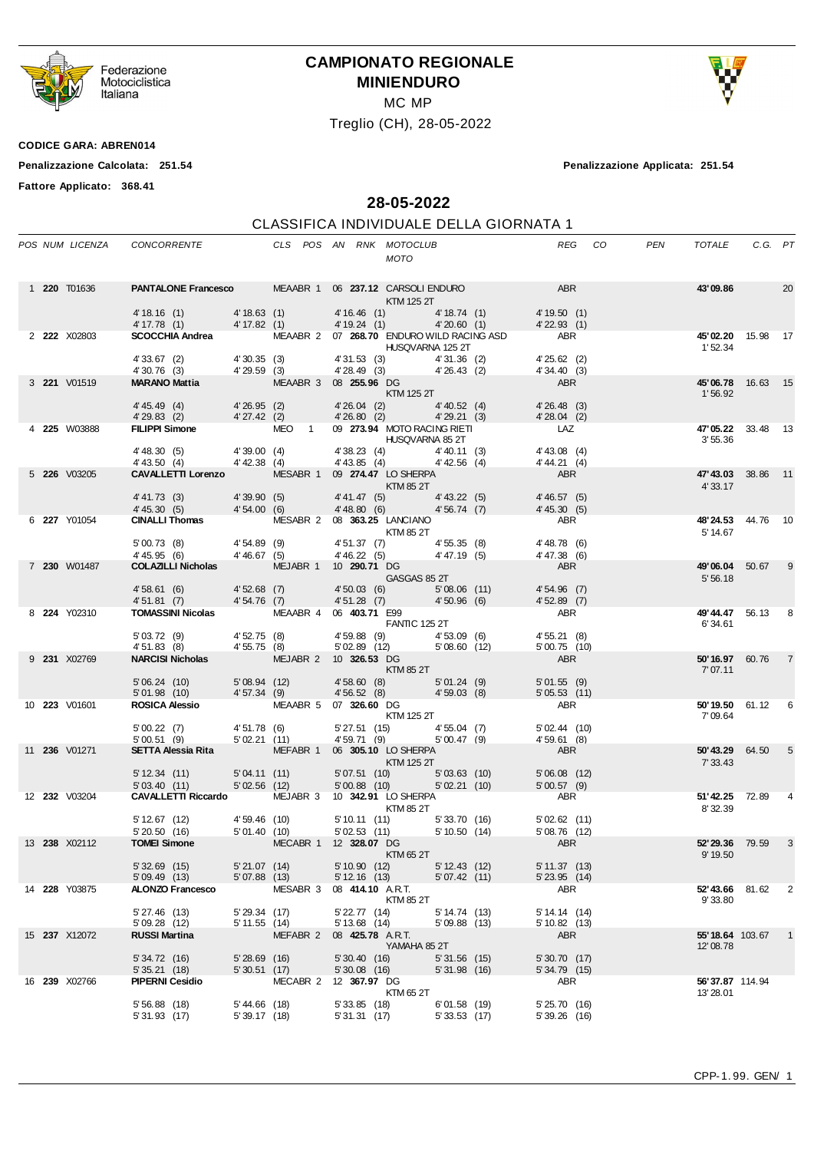

Federazione<br>Motociclistica<br>Italiana

## **CAMPIONATO REGIONALE MINIENDURO**

MC MP

Treglio (CH), 28-05-2022



**Fattore Applicato: 368.41**

**Penalizzazione Calcolata: 251.54 Penalizzazione Applicata: 251.54**

**28-05-2022**

## CLASSIFICA INDIVIDUALE DELLA GIORNATA 1

|  |                      | POS NUM LICENZA CONCORRENTE THE CLS POS AN RNK MOTOCLUB                                                                                                                                                                                                                                                                               |                              |                           |                  | <b>MOTO</b>       |                                |                                                       | REG CO                           | <b>PEN</b> | TOTALE                       | C.G. PT |                |
|--|----------------------|---------------------------------------------------------------------------------------------------------------------------------------------------------------------------------------------------------------------------------------------------------------------------------------------------------------------------------------|------------------------------|---------------------------|------------------|-------------------|--------------------------------|-------------------------------------------------------|----------------------------------|------------|------------------------------|---------|----------------|
|  | 1 <b>220</b> T01636  | <b>PANTALONE Francesco</b> MEAABR 1 06 237.12 CARSOLI ENDURO ABR                                                                                                                                                                                                                                                                      |                              |                           |                  | KTM 125 2T        |                                |                                                       |                                  |            | 43'09.86                     |         | 20             |
|  |                      | 4'18.16 (1) 4'18.63 (1) 4'16.46 (1) 4'18.74 (1) 4'19.50 (1)<br>4'17.78 (1) 4'17.82 (1) 4'19.24 (1) 4'20.60 (1) 4'22.93 (1)<br>SCOCCHIA Andrea MEAABR 2 07 268.70 ENDURO WILD RACING ASD ABR                                                                                                                                           |                              |                           |                  |                   |                                |                                                       |                                  |            |                              |         |                |
|  | 2 222 X02803         |                                                                                                                                                                                                                                                                                                                                       |                              |                           |                  |                   |                                |                                                       |                                  |            | 45'02.20 15.98 17<br>1'52.34 |         |                |
|  |                      | 4'33.67 (2) 4'30.35 (3) 4'31.53 (3) 4'31.53 (2) 4'31.36 (2) 4'30.76 (3) 4'29.59 (3) 4'28.49 (3) 4'26.43 (2) 4'26.43 (2) 4'34.40 (3) 4'29.59 (3) 4'26.43 (2) 4'26.43 (2) 4'34.40 (3) 4'29.59 (3) 4'26.43 (2) 4'26.43 (2) 4'34.4                                                                                                        |                              |                           |                  |                   |                                |                                                       |                                  |            |                              |         |                |
|  | 3 221 V01519         |                                                                                                                                                                                                                                                                                                                                       |                              |                           |                  |                   |                                |                                                       |                                  |            | 45'06.78 16.63 15            |         |                |
|  |                      |                                                                                                                                                                                                                                                                                                                                       |                              |                           | $KTM$ 125 2T     |                   |                                |                                                       |                                  |            | 1'56.92                      |         |                |
|  |                      | 4'45.49 (4) $4'26.95$ (2) $4'26.04$ (2) $4'40.52$ (4) $4'26.48$ (3)<br>4'29.83 (2) $4'27.42$ (2) $4'26.80$ (2) $4'29.21$ (3) $4'28.04$ (2)                                                                                                                                                                                            |                              |                           |                  |                   |                                |                                                       |                                  |            |                              |         |                |
|  | 4 225 W03888         | FILIPPI Simone MEO 1 09 273.94 MOTO RACING RIETI LAZ                                                                                                                                                                                                                                                                                  |                              |                           |                  |                   |                                |                                                       |                                  |            | 47'05.22 33.48 13<br>3'55.36 |         |                |
|  |                      | PILIPPI SIMULE<br>4'48.30 (5) 4'39.00 (4) 4'38.23 (4) 4'38.23 (4) 4'40.11 (3) 4'43.08 (4)<br>4'43.50 (4) 4'42.38 (4) 4'43.85 (4) 4'42.56 (4) 4'44.21 (4)                                                                                                                                                                              |                              |                           |                  |                   |                                |                                                       |                                  |            |                              |         |                |
|  |                      |                                                                                                                                                                                                                                                                                                                                       |                              |                           |                  |                   |                                |                                                       |                                  |            |                              |         |                |
|  | 5 226 V03205         | CAVALLETTI Lorenzo MESABR 1 09 274.47 LO SHERPA<br>4' 41.73 (3) 4' 39.90 (5) 4' 41.47 (5) KTM 85 2T<br>4' 45.30 (5) 4' 54.00 (6) 4' 48.80 (6) 4' 56.74 (7) 4' 45.30 (5)<br>5' CINALLI Thomas MESABR 2 08 363.25 LANCIANO<br>5' 00.73 (8) 4' 54.89 (9) 4' 54.89 (9) 4' 54.89 (9) 4' 54.89 (                                            |                              |                           |                  |                   |                                |                                                       | ABR                              |            | 47'43.03 38.86 11<br>4'33.17 |         |                |
|  |                      |                                                                                                                                                                                                                                                                                                                                       |                              |                           |                  |                   |                                |                                                       |                                  |            |                              |         |                |
|  | 6 227 Y01054         |                                                                                                                                                                                                                                                                                                                                       |                              |                           |                  |                   |                                |                                                       |                                  |            | 48'24.53 44.76 10            |         |                |
|  |                      |                                                                                                                                                                                                                                                                                                                                       |                              |                           |                  |                   |                                |                                                       |                                  |            | 5' 14.67                     |         |                |
|  |                      |                                                                                                                                                                                                                                                                                                                                       |                              |                           |                  |                   |                                |                                                       |                                  |            |                              |         |                |
|  | 7 230 W01487         |                                                                                                                                                                                                                                                                                                                                       |                              |                           |                  |                   |                                |                                                       |                                  |            | 49'06.04 50.67 9             |         |                |
|  |                      |                                                                                                                                                                                                                                                                                                                                       |                              |                           |                  |                   |                                |                                                       |                                  |            | 5'56.18                      |         |                |
|  |                      |                                                                                                                                                                                                                                                                                                                                       |                              |                           |                  |                   |                                |                                                       |                                  |            |                              |         |                |
|  | 8 224 Y02310         | $\begin{array}{ccccccccc}\n 500.73 & (8) & 4'54.89 & (9) & 4'51.37 & (7) & 4'55.35 & (8) & 4'48.78 & (6) \\  4'45.95 & (6) & 4'46.67 & (5) & 4'46.22 & (5) & 4'47.19 & (5) & 4'47.38 & (6) \\  \textbf{COLAZLLI Nicholas} & \textbf{MEJABR} & 1 & 10 & 290.71 & \textbf{DG} & & \textbf{ABR} & \\  4'58.61 & (6) & 4'52.68 & (7) & 4$ |                              |                           |                  |                   |                                | $\frac{403.71 \text{ E}99}{\text{FANHC } 125.21}$ ABR |                                  |            | 49'44.47 56.13 8<br>6'34.61  |         |                |
|  |                      | 5'03.72 (9) 4'52.75 (8) 4'59.88 (9) 4'53.09 (6) 4'55.21 (8)<br>4'51.83 (8) 4'55.75 (8) 5'02.89 (12) 5'08.60 (12) 5'00.75 (10)<br><b>NARCISI Nicholas</b> MEJABR 2 10 <b>326.53</b> DG ABR                                                                                                                                             |                              |                           |                  |                   |                                |                                                       |                                  |            |                              |         |                |
|  | 9 231 X02769         |                                                                                                                                                                                                                                                                                                                                       |                              |                           |                  |                   |                                |                                                       | 5'00.75 (10)                     |            | 50'16.97 60.76               |         | $\overline{7}$ |
|  |                      |                                                                                                                                                                                                                                                                                                                                       |                              |                           | KTM 85 2T        |                   |                                |                                                       |                                  |            | 7' 07.11                     |         |                |
|  |                      |                                                                                                                                                                                                                                                                                                                                       |                              |                           |                  |                   |                                |                                                       |                                  |            |                              |         |                |
|  | 10 223 V01601        | 5'06.24 (10) 5'08.94 (12) 4'58.60 (8) 5'01.24 (9) 5'01.55 (9)<br>5'01.98 (10) 4'57.34 (9) 4'56.52 (8) 4'59.03 (8) 5'05.53 (11)<br><b>ROSICA Alessio</b> MEAABR 5 07 <b>326.60</b> DG ABR                                                                                                                                              |                              |                           |                  |                   |                                |                                                       |                                  |            | 50'19.50 61.12 6             |         |                |
|  |                      |                                                                                                                                                                                                                                                                                                                                       |                              |                           |                  | <b>KTM 125 2T</b> |                                |                                                       |                                  |            | 7'09.64                      |         |                |
|  |                      |                                                                                                                                                                                                                                                                                                                                       |                              |                           |                  |                   |                                |                                                       |                                  |            |                              |         |                |
|  | 11 236 V01271        | $500.22$ (7) $4'51.78$ (6) $5'27.51$ (15) $4'55.04$ (7) $5'02.44$ (10)<br>$5'00.51$ (9) $5'02.21$ (11) $4'59.71$ (9) $5'00.47$ (9) $4'59.61$ (8)<br><b>SETTA Alessia Rita</b> MEFABR 1 06 <b>305.10</b> LO SHERPA ABR<br>$\blacksquare$                                                                                               |                              |                           |                  |                   |                                |                                                       |                                  |            | 50'43.29 64.50 5<br>7' 33.43 |         |                |
|  |                      | $5'12.34$ (11) $5'04.11$ (11) $5'07.51$ (10) $5'03.63$ (10) $5'03.63$ (10) $5'03.40$ (11) $5'02.56$ (12) $5'00.88$ (10) $5'02.21$ (10) $5'02.21$ (10) $5'03.240$ (11) $5'02.56$ (12) $5'00.88$ (10) $5'02.21$ (10) $5'03.40$                                                                                                          |                              |                           |                  |                   |                                |                                                       |                                  |            |                              |         |                |
|  |                      |                                                                                                                                                                                                                                                                                                                                       |                              |                           |                  |                   |                                |                                                       |                                  |            | 51'42.25 72.89 4             |         |                |
|  |                      |                                                                                                                                                                                                                                                                                                                                       |                              |                           |                  | <b>KTM 85 2T</b>  |                                |                                                       |                                  |            | 8'32.39                      |         |                |
|  |                      |                                                                                                                                                                                                                                                                                                                                       |                              |                           |                  |                   |                                |                                                       |                                  |            |                              |         |                |
|  | 13 238 X02112        | 5' 12.67 (12) 4' 59.46 (10) 5' 10.11 (11) 5' 33.70 (16) 5' 02.62 (11)<br>5' 5' 5' 01.40 (10) 5' 02.53 (11) 5' 10.50 (14) 5' 08.76 (12)<br>TOMEI Simone MECABR 1 12 328.07 DG ABR                                                                                                                                                      |                              |                           |                  |                   |                                |                                                       |                                  |            | 52'29.36 79.59               |         | 3              |
|  |                      |                                                                                                                                                                                                                                                                                                                                       |                              |                           |                  | KTM 65 2T         |                                |                                                       |                                  |            | 9' 19.50                     |         |                |
|  |                      | $5'32.69$ (15)<br>5' 09.49 (13)                                                                                                                                                                                                                                                                                                       | 5' 21.07 (14)<br>5'07.88(13) |                           | 5' 10.90 (12)    | $5' 12.16$ (13)   | $5' 12.43$ (12)<br>5'07.42(11) |                                                       | 5'11.37(13)<br>$5'$ 23.95 $(14)$ |            |                              |         |                |
|  | 14 228 Y03875        | ALONZO Francesco                                                                                                                                                                                                                                                                                                                      |                              | MESABR 3                  | 08 414.10 A.R.T. |                   |                                |                                                       | ABR                              |            | 52'43.66 81.62               |         | 2              |
|  |                      | $5'27.46$ (13)                                                                                                                                                                                                                                                                                                                        | 5'29.34(17)                  |                           | 5' 22.77 (14)    | KTM 85 2T         | 5' 14.74 (13)                  |                                                       | $5' 14.14$ (14)                  |            | 9'33.80                      |         |                |
|  |                      | 5'09.28 (12)                                                                                                                                                                                                                                                                                                                          | 5' 11.55 (14)                |                           | 5' 13.68 (14)    |                   | $5'09.88$ (13)                 |                                                       | 5'10.82(13)                      |            |                              |         |                |
|  | 15 <b>237</b> X12072 | <b>RUSSI Martina</b>                                                                                                                                                                                                                                                                                                                  |                              | MEFABR 2 08 425.78 A.R.T. |                  | YAMAHA 85 2T      |                                |                                                       | ABR                              |            | 55'18.64 103.67              |         | $\mathbf{1}$   |
|  |                      | 5'34.72(16)                                                                                                                                                                                                                                                                                                                           | $5'28.69$ (16)               |                           | 5'30.40(16)      |                   | $5'31.56$ (15)                 |                                                       | 5' 30.70 (17)                    |            | 12'08.78                     |         |                |
|  |                      | 5'35.21(18)                                                                                                                                                                                                                                                                                                                           | 5'30.51(17)                  |                           | 5' 30.08 (16)    |                   | 5'31.98(16)                    |                                                       | 5'34.79(15)                      |            |                              |         |                |
|  | 16 239 X02766        | <b>PIPERNI Cesidio</b>                                                                                                                                                                                                                                                                                                                |                              | MECABR 2 12 367.97 DG     |                  | KTM 65 2T         |                                |                                                       | ABR                              |            | 56'37.87 114.94<br>13' 28.01 |         |                |
|  |                      | 5'56.88(18)                                                                                                                                                                                                                                                                                                                           | $5' 44.66$ (18)              |                           | $5'33.85$ (18)   |                   | $6'$ 01.58 (19)                |                                                       | 5'25.70(16)                      |            |                              |         |                |
|  |                      | 5'31.93(17)                                                                                                                                                                                                                                                                                                                           | 5'39.17(18)                  |                           | 5' 31.31 (17)    |                   | 5'33.53(17)                    |                                                       | $5'39.26$ (16)                   |            |                              |         |                |